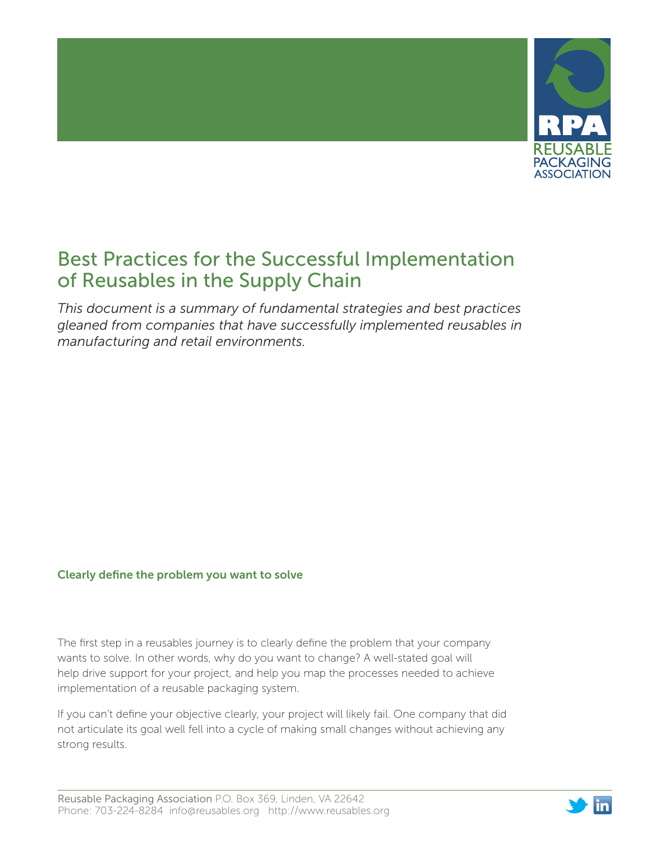

# Best Practices for the Successful Implementation of Reusables in the Supply Chain

*This document is a summary of fundamental strategies and best practices gleaned from companies that have successfully implemented reusables in manufacturing and retail environments.*

# Clearly define the problem you want to solve

The first step in a reusables journey is to clearly define the problem that your company wants to solve. In other words, why do you want to change? A well-stated goal will help drive support for your project, and help you map the processes needed to achieve implementation of a reusable packaging system.

If you can't define your objective clearly, your project will likely fail. One company that did not articulate its goal well fell into a cycle of making small changes without achieving any strong results.

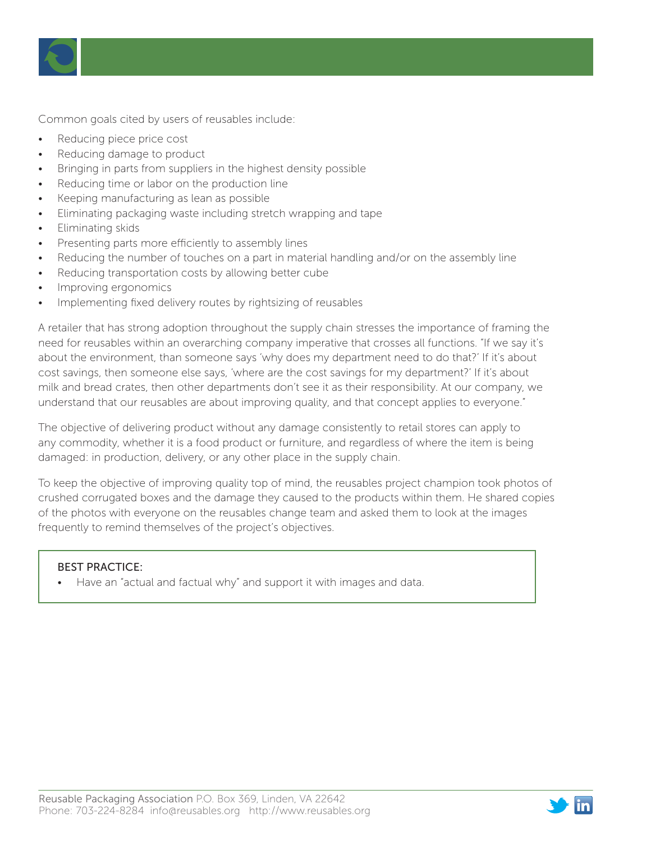

Common goals cited by users of reusables include:

- Reducing piece price cost
- Reducing damage to product
- Bringing in parts from suppliers in the highest density possible
- Reducing time or labor on the production line
- Keeping manufacturing as lean as possible
- Eliminating packaging waste including stretch wrapping and tape
- Eliminating skids
- Presenting parts more efficiently to assembly lines
- Reducing the number of touches on a part in material handling and/or on the assembly line
- Reducing transportation costs by allowing better cube
- Improving ergonomics
- Implementing fixed delivery routes by rightsizing of reusables

A retailer that has strong adoption throughout the supply chain stresses the importance of framing the need for reusables within an overarching company imperative that crosses all functions. "If we say it's about the environment, than someone says 'why does my department need to do that?' If it's about cost savings, then someone else says, 'where are the cost savings for my department?' If it's about milk and bread crates, then other departments don't see it as their responsibility. At our company, we understand that our reusables are about improving quality, and that concept applies to everyone."

The objective of delivering product without any damage consistently to retail stores can apply to any commodity, whether it is a food product or furniture, and regardless of where the item is being damaged: in production, delivery, or any other place in the supply chain.

To keep the objective of improving quality top of mind, the reusables project champion took photos of crushed corrugated boxes and the damage they caused to the products within them. He shared copies of the photos with everyone on the reusables change team and asked them to look at the images frequently to remind themselves of the project's objectives.

### BEST PRACTICE:

• Have an "actual and factual why" and support it with images and data.

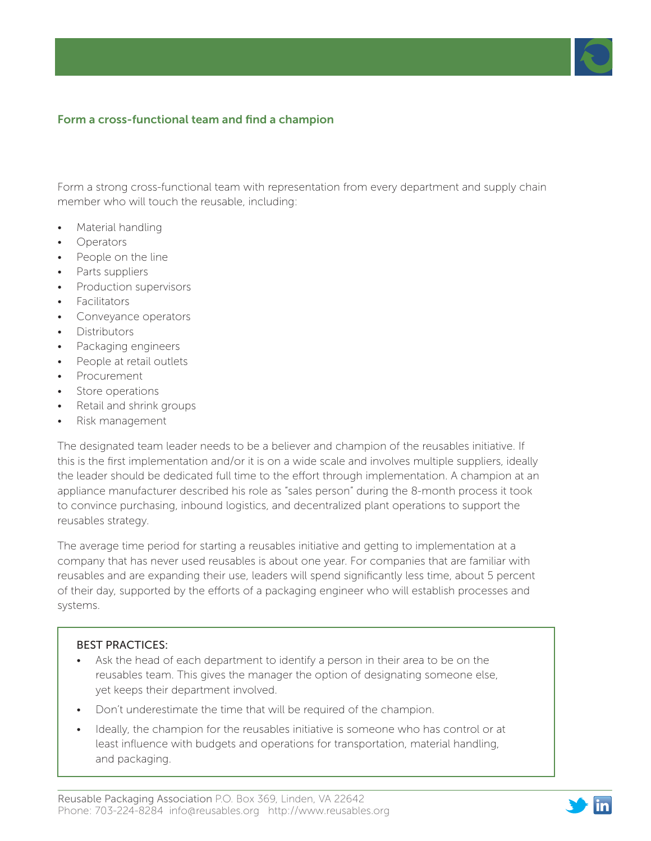# Form a cross-functional team and find a champion

Form a strong cross-functional team with representation from every department and supply chain member who will touch the reusable, including:

- Material handling
- **Operators**
- People on the line
- Parts suppliers
- **Production supervisors**
- Facilitators
- Conveyance operators
- **Distributors**
- Packaging engineers
- People at retail outlets
- Procurement
- Store operations
- Retail and shrink groups
- Risk management

The designated team leader needs to be a believer and champion of the reusables initiative. If this is the first implementation and/or it is on a wide scale and involves multiple suppliers, ideally the leader should be dedicated full time to the effort through implementation. A champion at an appliance manufacturer described his role as "sales person" during the 8-month process it took to convince purchasing, inbound logistics, and decentralized plant operations to support the reusables strategy.

The average time period for starting a reusables initiative and getting to implementation at a company that has never used reusables is about one year. For companies that are familiar with reusables and are expanding their use, leaders will spend significantly less time, about 5 percent of their day, supported by the efforts of a packaging engineer who will establish processes and systems.

### BEST PRACTICES:

- Ask the head of each department to identify a person in their area to be on the reusables team. This gives the manager the option of designating someone else, yet keeps their department involved.
- Don't underestimate the time that will be required of the champion.
- Ideally, the champion for the reusables initiative is someone who has control or at least influence with budgets and operations for transportation, material handling, and packaging.

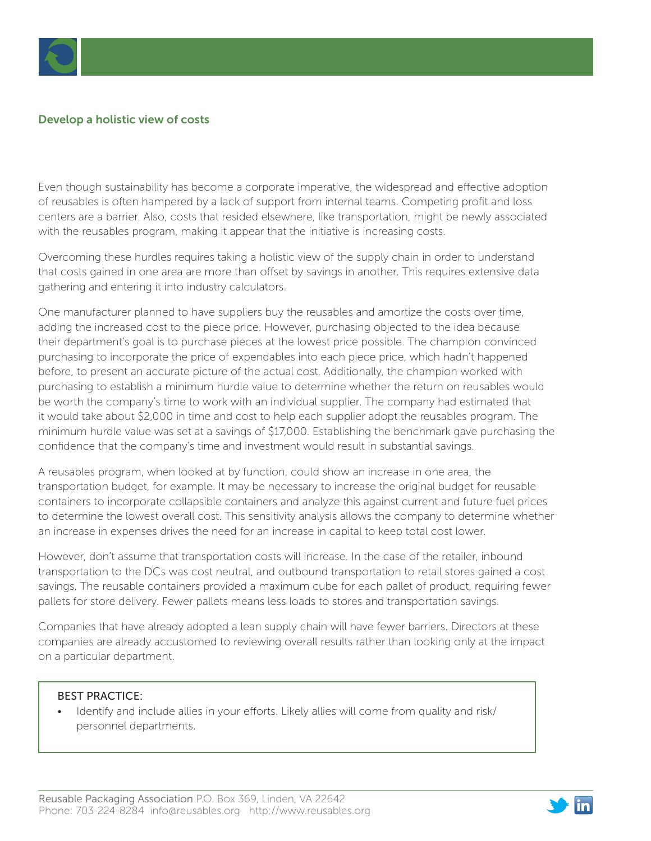

# Develop a holistic view of costs

Even though sustainability has become a corporate imperative, the widespread and effective adoption of reusables is often hampered by a lack of support from internal teams. Competing profit and loss centers are a barrier. Also, costs that resided elsewhere, like transportation, might be newly associated with the reusables program, making it appear that the initiative is increasing costs.

Overcoming these hurdles requires taking a holistic view of the supply chain in order to understand that costs gained in one area are more than offset by savings in another. This requires extensive data gathering and entering it into industry calculators.

One manufacturer planned to have suppliers buy the reusables and amortize the costs over time, adding the increased cost to the piece price. However, purchasing objected to the idea because their department's goal is to purchase pieces at the lowest price possible. The champion convinced purchasing to incorporate the price of expendables into each piece price, which hadn't happened before, to present an accurate picture of the actual cost. Additionally, the champion worked with purchasing to establish a minimum hurdle value to determine whether the return on reusables would be worth the company's time to work with an individual supplier. The company had estimated that it would take about \$2,000 in time and cost to help each supplier adopt the reusables program. The minimum hurdle value was set at a savings of \$17,000. Establishing the benchmark gave purchasing the confidence that the company's time and investment would result in substantial savings.

A reusables program, when looked at by function, could show an increase in one area, the transportation budget, for example. It may be necessary to increase the original budget for reusable containers to incorporate collapsible containers and analyze this against current and future fuel prices to determine the lowest overall cost. This sensitivity analysis allows the company to determine whether an increase in expenses drives the need for an increase in capital to keep total cost lower.

However, don't assume that transportation costs will increase. In the case of the retailer, inbound transportation to the DCs was cost neutral, and outbound transportation to retail stores gained a cost savings. The reusable containers provided a maximum cube for each pallet of product, requiring fewer pallets for store delivery. Fewer pallets means less loads to stores and transportation savings.

Companies that have already adopted a lean supply chain will have fewer barriers. Directors at these companies are already accustomed to reviewing overall results rather than looking only at the impact on a particular department.

#### BEST PRACTICE:

• Identify and include allies in your efforts. Likely allies will come from quality and risk/ personnel departments.

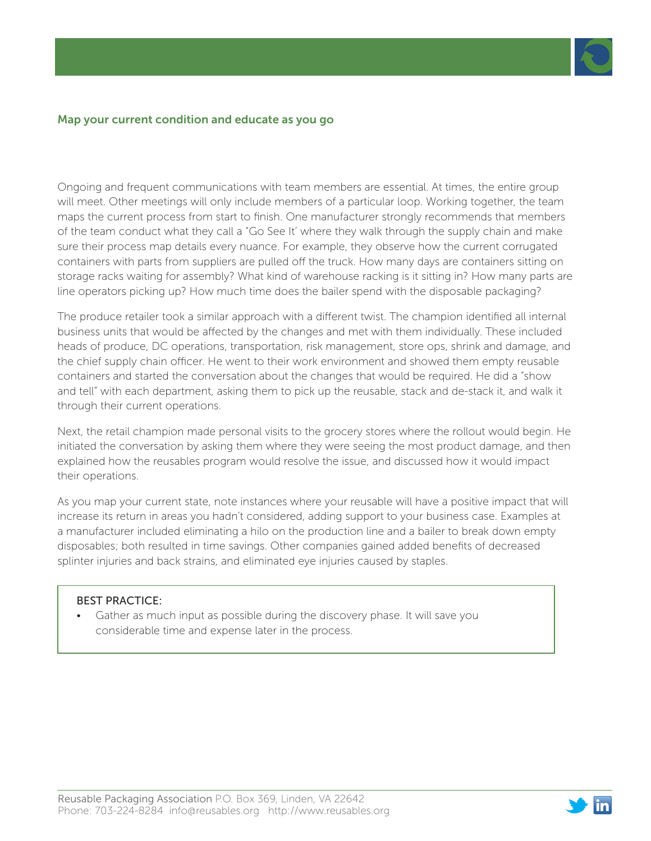

#### Map your current condition and educate as you go

Ongoing and frequent communications with team members are essential. At times, the entire group will meet. Other meetings will only include members of a particular loop. Working together, the team maps the current process from start to finish. One manufacturer strongly recommends that members of the team conduct what they call a "Go See It' where they walk through the supply chain and make sure their process map details every nuance. For example, they observe how the current corrugated containers with parts from suppliers are pulled off the truck. How many days are containers sitting on storage racks waiting for assembly? What kind of warehouse racking is it sitting in? How many parts are line operators picking up? How much time does the bailer spend with the disposable packaging?

The produce retailer took a similar approach with a different twist. The champion identified all internal business units that would be affected by the changes and met with them individually. These included heads of produce, DC operations, transportation, risk management, store ops, shrink and damage, and the chief supply chain officer. He went to their work environment and showed them empty reusable containers and started the conversation about the changes that would be required. He did a "show and tell" with each department, asking them to pick up the reusable, stack and de-stack it, and walk it through their current operations.

Next, the retail champion made personal visits to the grocery stores where the rollout would begin. He initiated the conversation by asking them where they were seeing the most product damage, and then explained how the reusables program would resolve the issue, and discussed how it would impact their operations.

As you map your current state, note instances where your reusable will have a positive impact that will increase its return in areas you hadn't considered, adding support to your business case. Examples at a manufacturer included eliminating a hilo on the production line and a bailer to break down empty disposables; both resulted in time savings. Other companies gained added benefits of decreased splinter injuries and back strains, and eliminated eye injuries caused by staples.

#### BEST PRACTICE:

• Gather as much input as possible during the discovery phase. It will save you considerable time and expense later in the process.

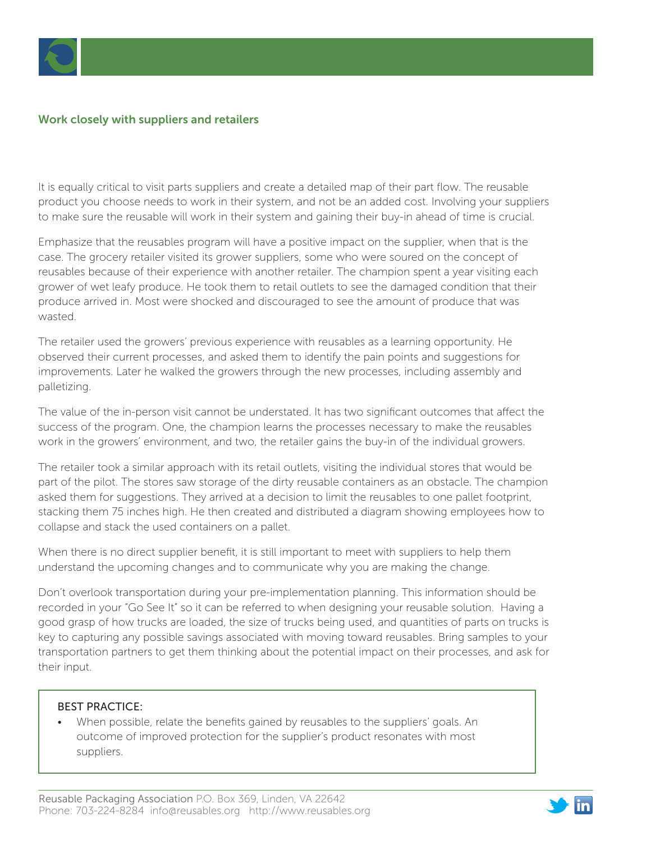

# Work closely with suppliers and retailers

It is equally critical to visit parts suppliers and create a detailed map of their part flow. The reusable product you choose needs to work in their system, and not be an added cost. Involving your suppliers to make sure the reusable will work in their system and gaining their buy-in ahead of time is crucial.

Emphasize that the reusables program will have a positive impact on the supplier, when that is the case. The grocery retailer visited its grower suppliers, some who were soured on the concept of reusables because of their experience with another retailer. The champion spent a year visiting each grower of wet leafy produce. He took them to retail outlets to see the damaged condition that their produce arrived in. Most were shocked and discouraged to see the amount of produce that was wasted.

The retailer used the growers' previous experience with reusables as a learning opportunity. He observed their current processes, and asked them to identify the pain points and suggestions for improvements. Later he walked the growers through the new processes, including assembly and palletizing.

The value of the in-person visit cannot be understated. It has two significant outcomes that affect the success of the program. One, the champion learns the processes necessary to make the reusables work in the growers' environment, and two, the retailer gains the buy-in of the individual growers.

The retailer took a similar approach with its retail outlets, visiting the individual stores that would be part of the pilot. The stores saw storage of the dirty reusable containers as an obstacle. The champion asked them for suggestions. They arrived at a decision to limit the reusables to one pallet footprint, stacking them 75 inches high. He then created and distributed a diagram showing employees how to collapse and stack the used containers on a pallet.

When there is no direct supplier benefit, it is still important to meet with suppliers to help them understand the upcoming changes and to communicate why you are making the change.

Don't overlook transportation during your pre-implementation planning. This information should be recorded in your "Go See It" so it can be referred to when designing your reusable solution. Having a good grasp of how trucks are loaded, the size of trucks being used, and quantities of parts on trucks is key to capturing any possible savings associated with moving toward reusables. Bring samples to your transportation partners to get them thinking about the potential impact on their processes, and ask for their input.

### BEST PRACTICE:

• When possible, relate the benefits gained by reusables to the suppliers' goals. An outcome of improved protection for the supplier's product resonates with most suppliers.

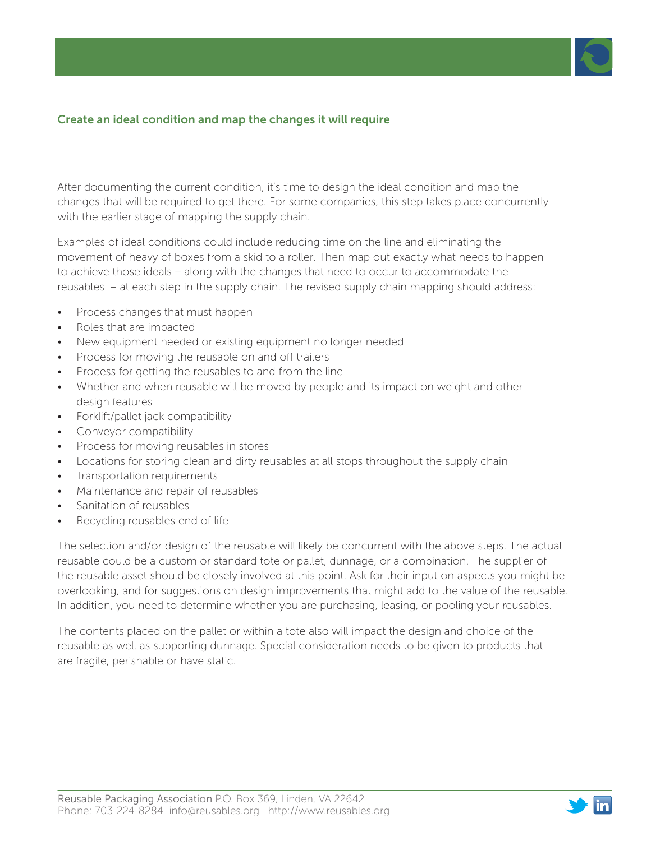# Create an ideal condition and map the changes it will require

After documenting the current condition, it's time to design the ideal condition and map the changes that will be required to get there. For some companies, this step takes place concurrently with the earlier stage of mapping the supply chain.

Examples of ideal conditions could include reducing time on the line and eliminating the movement of heavy of boxes from a skid to a roller. Then map out exactly what needs to happen to achieve those ideals – along with the changes that need to occur to accommodate the reusables – at each step in the supply chain. The revised supply chain mapping should address:

- Process changes that must happen
- Roles that are impacted
- New equipment needed or existing equipment no longer needed
- Process for moving the reusable on and off trailers
- Process for getting the reusables to and from the line
- Whether and when reusable will be moved by people and its impact on weight and other design features
- Forklift/pallet jack compatibility
- Conveyor compatibility
- Process for moving reusables in stores
- Locations for storing clean and dirty reusables at all stops throughout the supply chain
- Transportation requirements
- Maintenance and repair of reusables
- Sanitation of reusables
- Recycling reusables end of life

The selection and/or design of the reusable will likely be concurrent with the above steps. The actual reusable could be a custom or standard tote or pallet, dunnage, or a combination. The supplier of the reusable asset should be closely involved at this point. Ask for their input on aspects you might be overlooking, and for suggestions on design improvements that might add to the value of the reusable. In addition, you need to determine whether you are purchasing, leasing, or pooling your reusables.

The contents placed on the pallet or within a tote also will impact the design and choice of the reusable as well as supporting dunnage. Special consideration needs to be given to products that are fragile, perishable or have static.

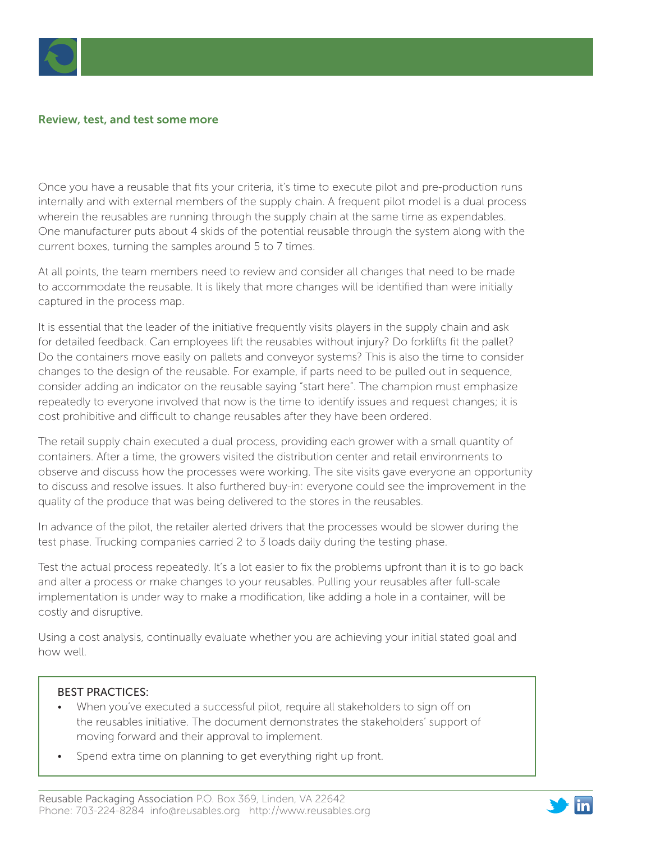

#### Review, test, and test some more

Once you have a reusable that fits your criteria, it's time to execute pilot and pre-production runs internally and with external members of the supply chain. A frequent pilot model is a dual process wherein the reusables are running through the supply chain at the same time as expendables. One manufacturer puts about 4 skids of the potential reusable through the system along with the current boxes, turning the samples around 5 to 7 times.

At all points, the team members need to review and consider all changes that need to be made to accommodate the reusable. It is likely that more changes will be identified than were initially captured in the process map.

It is essential that the leader of the initiative frequently visits players in the supply chain and ask for detailed feedback. Can employees lift the reusables without injury? Do forklifts fit the pallet? Do the containers move easily on pallets and conveyor systems? This is also the time to consider changes to the design of the reusable. For example, if parts need to be pulled out in sequence, consider adding an indicator on the reusable saying "start here". The champion must emphasize repeatedly to everyone involved that now is the time to identify issues and request changes; it is cost prohibitive and difficult to change reusables after they have been ordered.

The retail supply chain executed a dual process, providing each grower with a small quantity of containers. After a time, the growers visited the distribution center and retail environments to observe and discuss how the processes were working. The site visits gave everyone an opportunity to discuss and resolve issues. It also furthered buy-in: everyone could see the improvement in the quality of the produce that was being delivered to the stores in the reusables.

In advance of the pilot, the retailer alerted drivers that the processes would be slower during the test phase. Trucking companies carried 2 to 3 loads daily during the testing phase.

Test the actual process repeatedly. It's a lot easier to fix the problems upfront than it is to go back and alter a process or make changes to your reusables. Pulling your reusables after full-scale implementation is under way to make a modification, like adding a hole in a container, will be costly and disruptive.

Using a cost analysis, continually evaluate whether you are achieving your initial stated goal and how well.

#### BEST PRACTICES:

- When you've executed a successful pilot, require all stakeholders to sign off on the reusables initiative. The document demonstrates the stakeholders' support of moving forward and their approval to implement.
- Spend extra time on planning to get everything right up front.

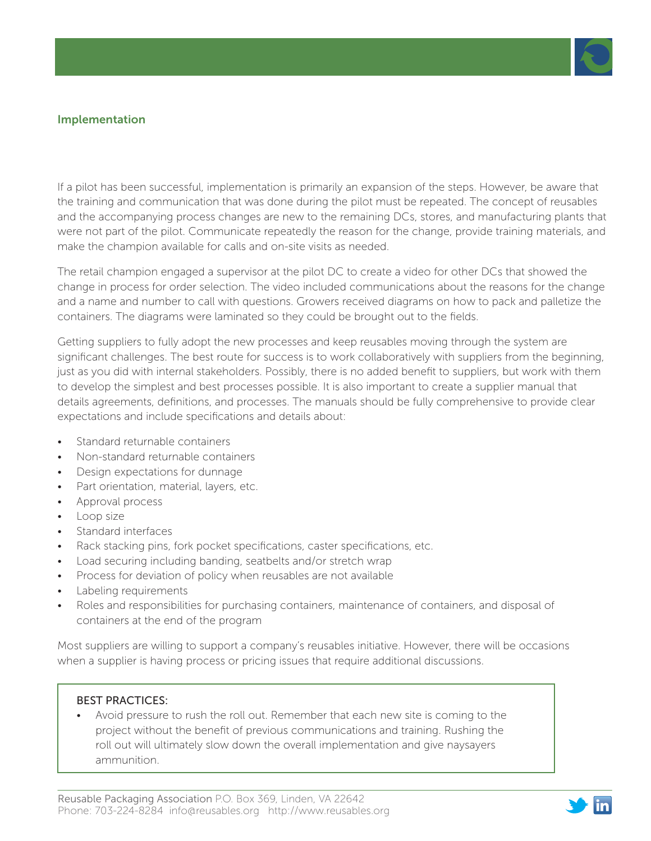

### Implementation

If a pilot has been successful, implementation is primarily an expansion of the steps. However, be aware that the training and communication that was done during the pilot must be repeated. The concept of reusables and the accompanying process changes are new to the remaining DCs, stores, and manufacturing plants that were not part of the pilot. Communicate repeatedly the reason for the change, provide training materials, and make the champion available for calls and on-site visits as needed.

The retail champion engaged a supervisor at the pilot DC to create a video for other DCs that showed the change in process for order selection. The video included communications about the reasons for the change and a name and number to call with questions. Growers received diagrams on how to pack and palletize the containers. The diagrams were laminated so they could be brought out to the fields.

Getting suppliers to fully adopt the new processes and keep reusables moving through the system are significant challenges. The best route for success is to work collaboratively with suppliers from the beginning, just as you did with internal stakeholders. Possibly, there is no added benefit to suppliers, but work with them to develop the simplest and best processes possible. It is also important to create a supplier manual that details agreements, definitions, and processes. The manuals should be fully comprehensive to provide clear expectations and include specifications and details about:

- Standard returnable containers
- Non-standard returnable containers
- Design expectations for dunnage
- Part orientation, material, layers, etc.
- Approval process
- Loop size
- Standard interfaces
- Rack stacking pins, fork pocket specifications, caster specifications, etc.
- Load securing including banding, seatbelts and/or stretch wrap
- Process for deviation of policy when reusables are not available
- Labeling requirements
- Roles and responsibilities for purchasing containers, maintenance of containers, and disposal of containers at the end of the program

Most suppliers are willing to support a company's reusables initiative. However, there will be occasions when a supplier is having process or pricing issues that require additional discussions.

#### BEST PRACTICES:

• Avoid pressure to rush the roll out. Remember that each new site is coming to the project without the benefit of previous communications and training. Rushing the roll out will ultimately slow down the overall implementation and give naysayers ammunition.

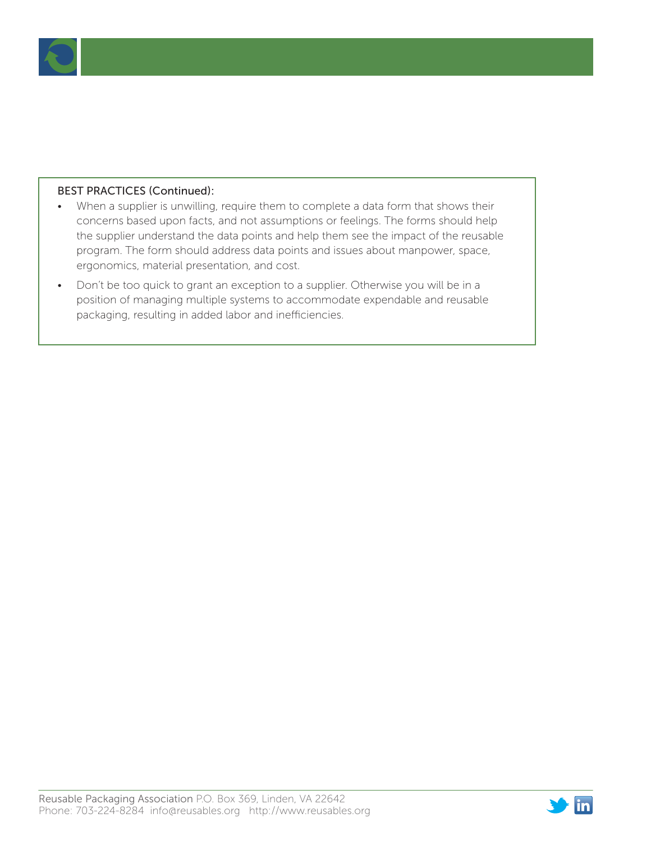

# BEST PRACTICES (Continued):

- When a supplier is unwilling, require them to complete a data form that shows their concerns based upon facts, and not assumptions or feelings. The forms should help the supplier understand the data points and help them see the impact of the reusable program. The form should address data points and issues about manpower, space, ergonomics, material presentation, and cost.
- Don't be too quick to grant an exception to a supplier. Otherwise you will be in a position of managing multiple systems to accommodate expendable and reusable packaging, resulting in added labor and inefficiencies.

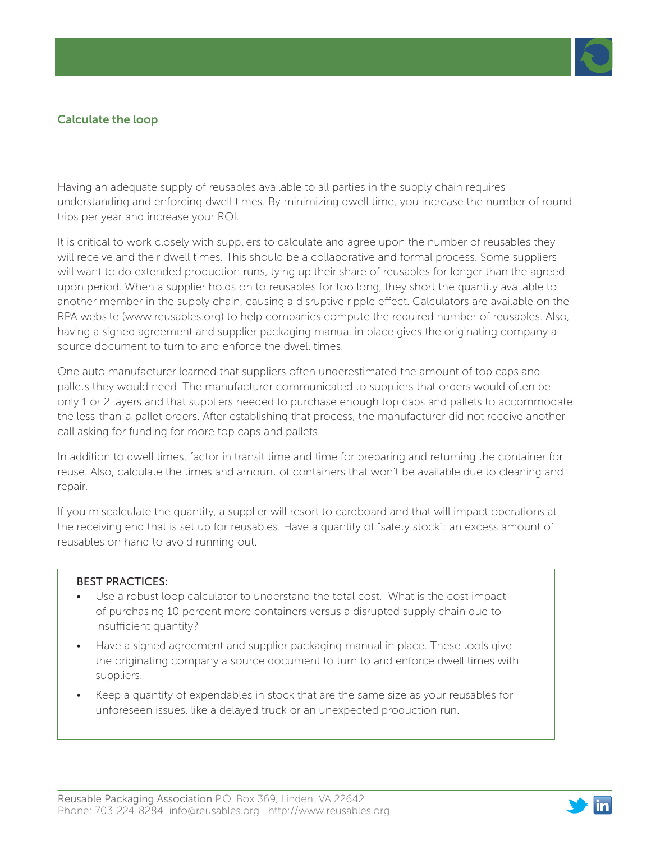# Calculate the loop

Having an adequate supply of reusables available to all parties in the supply chain requires understanding and enforcing dwell times. By minimizing dwell time, you increase the number of round trips per year and increase your ROI.

It is critical to work closely with suppliers to calculate and agree upon the number of reusables they will receive and their dwell times. This should be a collaborative and formal process. Some suppliers will want to do extended production runs, tying up their share of reusables for longer than the agreed upon period. When a supplier holds on to reusables for too long, they short the quantity available to another member in the supply chain, causing a disruptive ripple effect. Calculators are available on the RPA website (www.reusables.org) to help companies compute the required number of reusables. Also, having a signed agreement and supplier packaging manual in place gives the originating company a source document to turn to and enforce the dwell times.

One auto manufacturer learned that suppliers often underestimated the amount of top caps and pallets they would need. The manufacturer communicated to suppliers that orders would often be only 1 or 2 layers and that suppliers needed to purchase enough top caps and pallets to accommodate the less-than-a-pallet orders. After establishing that process, the manufacturer did not receive another call asking for funding for more top caps and pallets.

In addition to dwell times, factor in transit time and time for preparing and returning the container for reuse. Also, calculate the times and amount of containers that won't be available due to cleaning and repair.

If you miscalculate the quantity, a supplier will resort to cardboard and that will impact operations at the receiving end that is set up for reusables. Have a quantity of "safety stock": an excess amount of reusables on hand to avoid running out.

### BEST PRACTICES:

- Use a robust loop calculator to understand the total cost. What is the cost impact of purchasing 10 percent more containers versus a disrupted supply chain due to insufficient quantity?
- Have a signed agreement and supplier packaging manual in place. These tools give the originating company a source document to turn to and enforce dwell times with suppliers.
- Keep a quantity of expendables in stock that are the same size as your reusables for unforeseen issues, like a delayed truck or an unexpected production run.